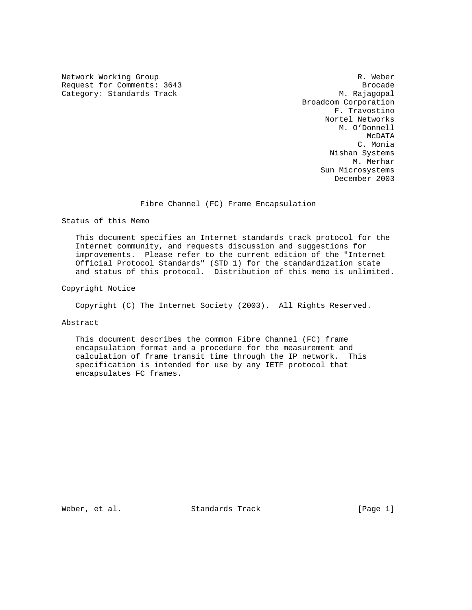Network Working Group and the set of the set of the set of the set of the set of the set of the set of the set o Request for Comments: 3643 Brocade Category: Standards Track M. Rajagopal

 Broadcom Corporation F. Travostino Nortel Networks M. O'Donnell McDATA National Secretary of the McDATA C. Monia Nishan Systems M. Merhar Sun Microsystems December 2003

Fibre Channel (FC) Frame Encapsulation

Status of this Memo

 This document specifies an Internet standards track protocol for the Internet community, and requests discussion and suggestions for improvements. Please refer to the current edition of the "Internet Official Protocol Standards" (STD 1) for the standardization state and status of this protocol. Distribution of this memo is unlimited.

Copyright Notice

Copyright (C) The Internet Society (2003). All Rights Reserved.

Abstract

 This document describes the common Fibre Channel (FC) frame encapsulation format and a procedure for the measurement and calculation of frame transit time through the IP network. This specification is intended for use by any IETF protocol that encapsulates FC frames.

Weber, et al. Standards Track [Page 1]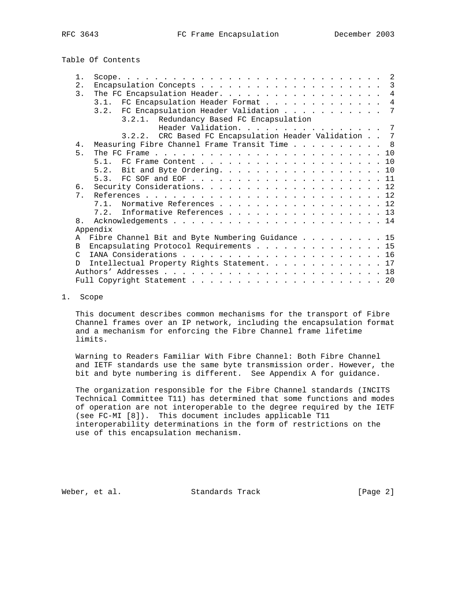Table Of Contents

| $1$ .            |                                                                                                                          |
|------------------|--------------------------------------------------------------------------------------------------------------------------|
| 2.               | 3                                                                                                                        |
| $\overline{3}$ . | The FC Encapsulation Header. 4                                                                                           |
|                  | 3.1. FC Encapsulation Header Format<br>$\overline{4}$                                                                    |
|                  | 3.2. FC Encapsulation Header Validation 7                                                                                |
|                  | 3.2.1. Redundancy Based FC Encapsulation                                                                                 |
|                  | Header Validation. 7                                                                                                     |
|                  | 3.2.2. CRC Based FC Encapsulation Header Validation 7                                                                    |
| 4.               | Measuring Fibre Channel Frame Transit Time 8                                                                             |
| 5 <sub>1</sub>   | The FC Frame $\ldots$ $\ldots$ $\ldots$ $\ldots$ $\ldots$ $\ldots$ $\ldots$ $\ldots$ $\ldots$ $\ldots$ $\ldots$ $\ldots$ |
|                  |                                                                                                                          |
|                  | Bit and Byte Ordering. 10<br>5.2.                                                                                        |
|                  |                                                                                                                          |
| б.               |                                                                                                                          |
| 7 <sub>1</sub>   |                                                                                                                          |
|                  | Normative References 12<br>7 1                                                                                           |
|                  | 7.2. Informative References 13                                                                                           |
| 8 <sub>1</sub>   |                                                                                                                          |
|                  | Appendix                                                                                                                 |
| A                | Fibre Channel Bit and Byte Numbering Guidance 15                                                                         |
| B.               | Encapsulating Protocol Requirements 15                                                                                   |
| $\mathcal{C}$    |                                                                                                                          |
| <sup>D</sup>     | Intellectual Property Rights Statement. 17                                                                               |
|                  |                                                                                                                          |
|                  |                                                                                                                          |
|                  |                                                                                                                          |

## 1. Scope

 This document describes common mechanisms for the transport of Fibre Channel frames over an IP network, including the encapsulation format and a mechanism for enforcing the Fibre Channel frame lifetime limits.

 Warning to Readers Familiar With Fibre Channel: Both Fibre Channel and IETF standards use the same byte transmission order. However, the bit and byte numbering is different. See Appendix A for guidance.

 The organization responsible for the Fibre Channel standards (INCITS Technical Committee T11) has determined that some functions and modes of operation are not interoperable to the degree required by the IETF (see FC-MI [8]). This document includes applicable T11 interoperability determinations in the form of restrictions on the use of this encapsulation mechanism.

Weber, et al. Standards Track [Page 2]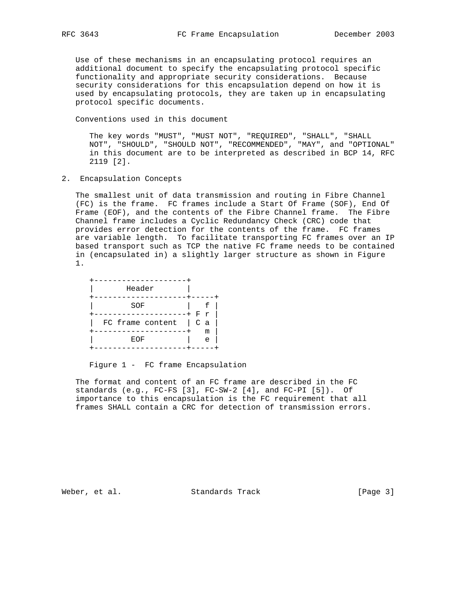Use of these mechanisms in an encapsulating protocol requires an additional document to specify the encapsulating protocol specific functionality and appropriate security considerations. Because security considerations for this encapsulation depend on how it is used by encapsulating protocols, they are taken up in encapsulating protocol specific documents.

Conventions used in this document

 The key words "MUST", "MUST NOT", "REQUIRED", "SHALL", "SHALL NOT", "SHOULD", "SHOULD NOT", "RECOMMENDED", "MAY", and "OPTIONAL" in this document are to be interpreted as described in BCP 14, RFC 2119 [2].

2. Encapsulation Concepts

 The smallest unit of data transmission and routing in Fibre Channel (FC) is the frame. FC frames include a Start Of Frame (SOF), End Of Frame (EOF), and the contents of the Fibre Channel frame. The Fibre Channel frame includes a Cyclic Redundancy Check (CRC) code that provides error detection for the contents of the frame. FC frames are variable length. To facilitate transporting FC frames over an IP based transport such as TCP the native FC frame needs to be contained in (encapsulated in) a slightly larger structure as shown in Figure 1.

| Header           |            |  |
|------------------|------------|--|
|                  |            |  |
| SOF              |            |  |
|                  | Fr         |  |
| FC frame content | $C$ a      |  |
|                  | m          |  |
| EOF              | $\epsilon$ |  |
|                  |            |  |

#### Figure 1 - FC frame Encapsulation

 The format and content of an FC frame are described in the FC standards (e.g., FC-FS [3], FC-SW-2 [4], and FC-PI [5]). Of importance to this encapsulation is the FC requirement that all frames SHALL contain a CRC for detection of transmission errors.

Weber, et al. Standards Track [Page 3]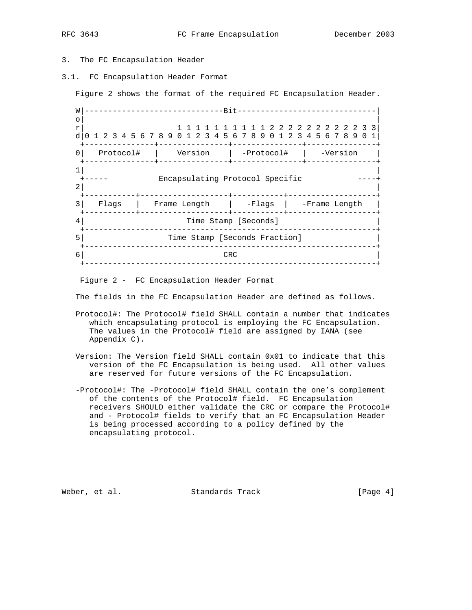## 3. The FC Encapsulation Header

3.1. FC Encapsulation Header Format

Figure 2 shows the format of the required FC Encapsulation Header.

 W|------------------------------Bit------------------------------|  $\circ$  |  $\qquad \qquad$  |  $\qquad \qquad$  |  $\qquad \qquad$  |  $\qquad \qquad$  |  $\qquad \qquad$  |  $\qquad \qquad$  |  $\qquad \qquad$  |  $\qquad \qquad$  |  $\qquad \qquad$  |  $\qquad \qquad$  |  $\qquad \qquad$  |  $\qquad \qquad$  |  $\qquad \qquad$  |  $\qquad \qquad$  |  $\qquad \qquad$  |  $\qquad \qquad$  |  $\qquad \qquad$  |  $\qquad \qquad$  |  $\qquad \qquad$  |  $\qquad \$  r| 1 1 1 1 1 1 1 1 1 1 2 2 2 2 2 2 2 2 2 2 3 3| d|0 1 2 3 4 5 6 7 8 9 0 1 2 3 4 5 6 7 8 9 0 1 2 3 4 5 6 7 8 9 0 1| +---------------+---------------+---------------+---------------+ 0| Protocol# | Version | -Protocol# | -Version | +---------------+---------------+---------------+---------------+  $\frac{1}{1}$ Encapsulating Protocol Specific  $2$  | +-----------+-------------------+-----------+-------------------+ 3| Flags | Frame Length | -Flags | -Frame Length | +-----------+-------------------+-----------+-------------------+ 4| Time Stamp [Seconds] | +---------------------------------------------------------------+ 5| Time Stamp [Seconds Fraction] | +---------------------------------------------------------------+  $\begin{array}{c|c|c|c|c|c} \hline \text{6} & \text{CRC} & \text{CRC} & \text{C} \end{array}$ +---------------------------------------------------------------+

Figure 2 - FC Encapsulation Header Format

The fields in the FC Encapsulation Header are defined as follows.

- Protocol#: The Protocol# field SHALL contain a number that indicates which encapsulating protocol is employing the FC Encapsulation. The values in the Protocol# field are assigned by IANA (see Appendix C).
- Version: The Version field SHALL contain 0x01 to indicate that this version of the FC Encapsulation is being used. All other values are reserved for future versions of the FC Encapsulation.
- -Protocol#: The -Protocol# field SHALL contain the one's complement of the contents of the Protocol# field. FC Encapsulation receivers SHOULD either validate the CRC or compare the Protocol# and - Protocol# fields to verify that an FC Encapsulation Header is being processed according to a policy defined by the encapsulating protocol.

Weber, et al. Standards Track (Page 4)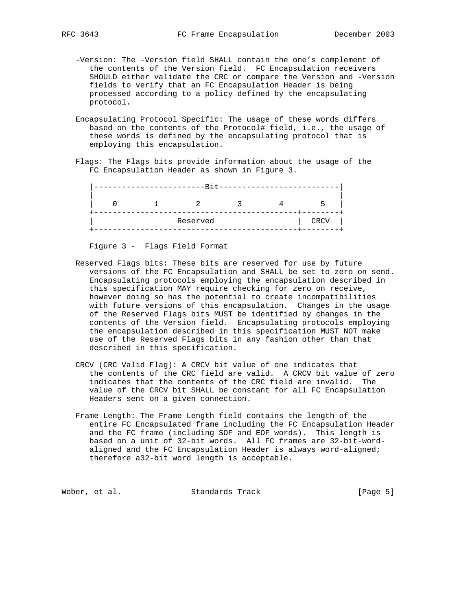- -Version: The -Version field SHALL contain the one's complement of the contents of the Version field. FC Encapsulation receivers SHOULD either validate the CRC or compare the Version and -Version fields to verify that an FC Encapsulation Header is being processed according to a policy defined by the encapsulating protocol.
- Encapsulating Protocol Specific: The usage of these words differs based on the contents of the Protocol# field, i.e., the usage of these words is defined by the encapsulating protocol that is employing this encapsulation.
- Flags: The Flags bits provide information about the usage of the FC Encapsulation Header as shown in Figure 3.

|  | $\mathbf{\overline{D}}$ |  |             |
|--|-------------------------|--|-------------|
|  |                         |  |             |
|  | Reserved                |  | <b>CRCV</b> |

Figure 3 - Flags Field Format

- Reserved Flags bits: These bits are reserved for use by future versions of the FC Encapsulation and SHALL be set to zero on send. Encapsulating protocols employing the encapsulation described in this specification MAY require checking for zero on receive, however doing so has the potential to create incompatibilities with future versions of this encapsulation. Changes in the usage of the Reserved Flags bits MUST be identified by changes in the contents of the Version field. Encapsulating protocols employing the encapsulation described in this specification MUST NOT make use of the Reserved Flags bits in any fashion other than that described in this specification.
- CRCV (CRC Valid Flag): A CRCV bit value of one indicates that the contents of the CRC field are valid. A CRCV bit value of zero indicates that the contents of the CRC field are invalid. The value of the CRCV bit SHALL be constant for all FC Encapsulation Headers sent on a given connection.
- Frame Length: The Frame Length field contains the length of the entire FC Encapsulated frame including the FC Encapsulation Header and the FC frame (including SOF and EOF words). This length is based on a unit of 32-bit words. All FC frames are 32-bit-word aligned and the FC Encapsulation Header is always word-aligned; therefore a32-bit word length is acceptable.

Weber, et al. Standards Track [Page 5]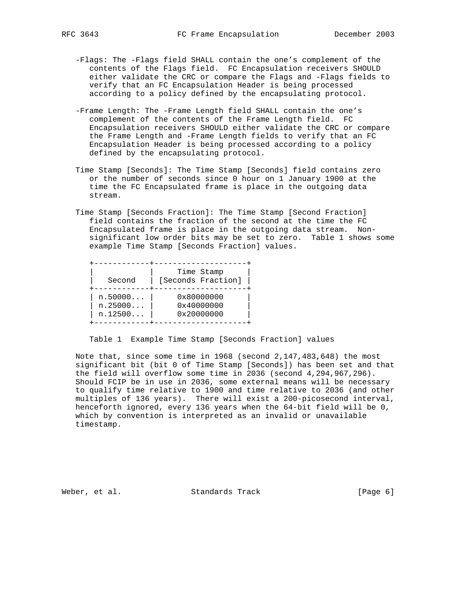- -Flags: The -Flags field SHALL contain the one's complement of the contents of the Flags field. FC Encapsulation receivers SHOULD either validate the CRC or compare the Flags and -Flags fields to verify that an FC Encapsulation Header is being processed according to a policy defined by the encapsulating protocol.
- -Frame Length: The -Frame Length field SHALL contain the one's complement of the contents of the Frame Length field. FC Encapsulation receivers SHOULD either validate the CRC or compare the Frame Length and -Frame Length fields to verify that an FC Encapsulation Header is being processed according to a policy defined by the encapsulating protocol.
- Time Stamp [Seconds]: The Time Stamp [Seconds] field contains zero or the number of seconds since 0 hour on 1 January 1900 at the time the FC Encapsulated frame is place in the outgoing data stream.
- Time Stamp [Seconds Fraction]: The Time Stamp [Second Fraction] field contains the fraction of the second at the time the FC Encapsulated frame is place in the outgoing data stream. Non significant low order bits may be set to zero. Table 1 shows some example Time Stamp [Seconds Fraction] values.

| Second  | Time Stamp<br>[Seconds Fraction] |
|---------|----------------------------------|
| n.50000 | 0x80000000                       |
| n.25000 | 0x40000000                       |
| n.12500 | 0x20000000                       |

Table 1 Example Time Stamp [Seconds Fraction] values

 Note that, since some time in 1968 (second 2,147,483,648) the most significant bit (bit 0 of Time Stamp [Seconds]) has been set and that the field will overflow some time in 2036 (second 4,294,967,296). Should FCIP be in use in 2036, some external means will be necessary to qualify time relative to 1900 and time relative to 2036 (and other multiples of 136 years). There will exist a 200-picosecond interval, henceforth ignored, every 136 years when the 64-bit field will be 0, which by convention is interpreted as an invalid or unavailable timestamp.

Weber, et al. Standards Track [Page 6]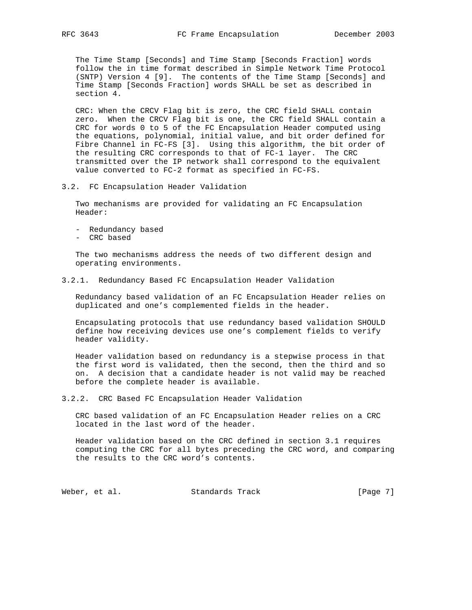The Time Stamp [Seconds] and Time Stamp [Seconds Fraction] words follow the in time format described in Simple Network Time Protocol (SNTP) Version 4 [9]. The contents of the Time Stamp [Seconds] and Time Stamp [Seconds Fraction] words SHALL be set as described in section 4.

 CRC: When the CRCV Flag bit is zero, the CRC field SHALL contain zero. When the CRCV Flag bit is one, the CRC field SHALL contain a CRC for words 0 to 5 of the FC Encapsulation Header computed using the equations, polynomial, initial value, and bit order defined for Fibre Channel in FC-FS [3]. Using this algorithm, the bit order of the resulting CRC corresponds to that of FC-1 layer. The CRC transmitted over the IP network shall correspond to the equivalent value converted to FC-2 format as specified in FC-FS.

## 3.2. FC Encapsulation Header Validation

 Two mechanisms are provided for validating an FC Encapsulation Header:

- Redundancy based
- CRC based

 The two mechanisms address the needs of two different design and operating environments.

### 3.2.1. Redundancy Based FC Encapsulation Header Validation

 Redundancy based validation of an FC Encapsulation Header relies on duplicated and one's complemented fields in the header.

 Encapsulating protocols that use redundancy based validation SHOULD define how receiving devices use one's complement fields to verify header validity.

 Header validation based on redundancy is a stepwise process in that the first word is validated, then the second, then the third and so on. A decision that a candidate header is not valid may be reached before the complete header is available.

3.2.2. CRC Based FC Encapsulation Header Validation

 CRC based validation of an FC Encapsulation Header relies on a CRC located in the last word of the header.

 Header validation based on the CRC defined in section 3.1 requires computing the CRC for all bytes preceding the CRC word, and comparing the results to the CRC word's contents.

Weber, et al. Standards Track [Page 7]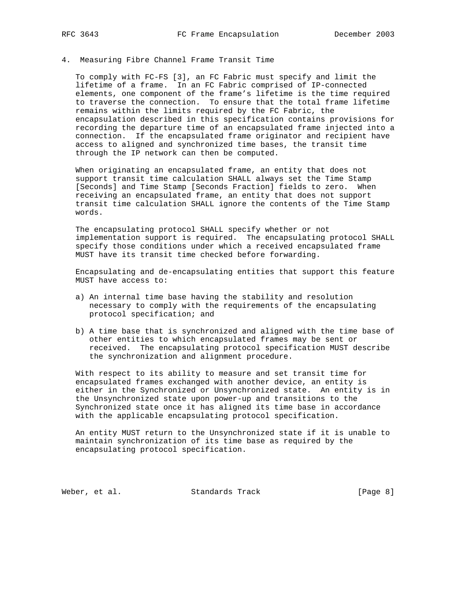## 4. Measuring Fibre Channel Frame Transit Time

 To comply with FC-FS [3], an FC Fabric must specify and limit the lifetime of a frame. In an FC Fabric comprised of IP-connected elements, one component of the frame's lifetime is the time required to traverse the connection. To ensure that the total frame lifetime remains within the limits required by the FC Fabric, the encapsulation described in this specification contains provisions for recording the departure time of an encapsulated frame injected into a connection. If the encapsulated frame originator and recipient have access to aligned and synchronized time bases, the transit time through the IP network can then be computed.

 When originating an encapsulated frame, an entity that does not support transit time calculation SHALL always set the Time Stamp [Seconds] and Time Stamp [Seconds Fraction] fields to zero. When receiving an encapsulated frame, an entity that does not support transit time calculation SHALL ignore the contents of the Time Stamp words.

 The encapsulating protocol SHALL specify whether or not implementation support is required. The encapsulating protocol SHALL specify those conditions under which a received encapsulated frame MUST have its transit time checked before forwarding.

 Encapsulating and de-encapsulating entities that support this feature MUST have access to:

- a) An internal time base having the stability and resolution necessary to comply with the requirements of the encapsulating protocol specification; and
- b) A time base that is synchronized and aligned with the time base of other entities to which encapsulated frames may be sent or received. The encapsulating protocol specification MUST describe the synchronization and alignment procedure.

 With respect to its ability to measure and set transit time for encapsulated frames exchanged with another device, an entity is either in the Synchronized or Unsynchronized state. An entity is in the Unsynchronized state upon power-up and transitions to the Synchronized state once it has aligned its time base in accordance with the applicable encapsulating protocol specification.

 An entity MUST return to the Unsynchronized state if it is unable to maintain synchronization of its time base as required by the encapsulating protocol specification.

Weber, et al. Standards Track [Page 8]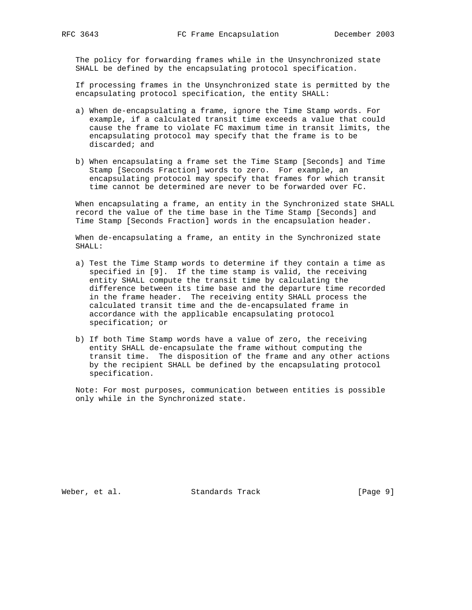The policy for forwarding frames while in the Unsynchronized state SHALL be defined by the encapsulating protocol specification.

 If processing frames in the Unsynchronized state is permitted by the encapsulating protocol specification, the entity SHALL:

- a) When de-encapsulating a frame, ignore the Time Stamp words. For example, if a calculated transit time exceeds a value that could cause the frame to violate FC maximum time in transit limits, the encapsulating protocol may specify that the frame is to be discarded; and
- b) When encapsulating a frame set the Time Stamp [Seconds] and Time Stamp [Seconds Fraction] words to zero. For example, an encapsulating protocol may specify that frames for which transit time cannot be determined are never to be forwarded over FC.

 When encapsulating a frame, an entity in the Synchronized state SHALL record the value of the time base in the Time Stamp [Seconds] and Time Stamp [Seconds Fraction] words in the encapsulation header.

 When de-encapsulating a frame, an entity in the Synchronized state SHALL:

- a) Test the Time Stamp words to determine if they contain a time as specified in [9]. If the time stamp is valid, the receiving entity SHALL compute the transit time by calculating the difference between its time base and the departure time recorded in the frame header. The receiving entity SHALL process the calculated transit time and the de-encapsulated frame in accordance with the applicable encapsulating protocol specification; or
- b) If both Time Stamp words have a value of zero, the receiving entity SHALL de-encapsulate the frame without computing the transit time. The disposition of the frame and any other actions by the recipient SHALL be defined by the encapsulating protocol specification.

 Note: For most purposes, communication between entities is possible only while in the Synchronized state.

Weber, et al. Standards Track [Page 9]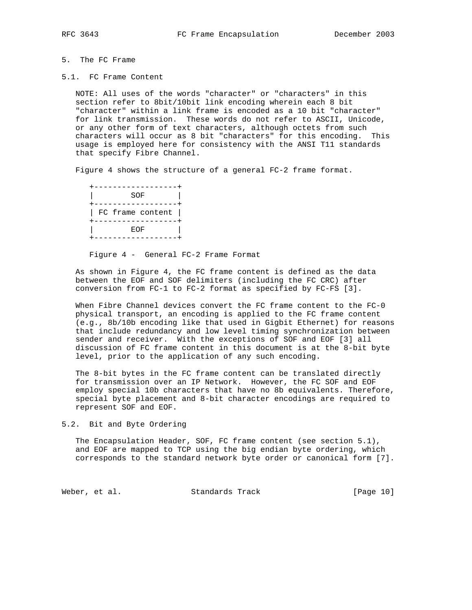# 5. The FC Frame

5.1. FC Frame Content

 NOTE: All uses of the words "character" or "characters" in this section refer to 8bit/10bit link encoding wherein each 8 bit "character" within a link frame is encoded as a 10 bit "character" for link transmission. These words do not refer to ASCII, Unicode, or any other form of text characters, although octets from such characters will occur as 8 bit "characters" for this encoding. This usage is employed here for consistency with the ANSI T11 standards that specify Fibre Channel.

Figure 4 shows the structure of a general FC-2 frame format.

 +------------------+ | SOF | +------------------+ | FC frame content | +------------------+ | EOF | +------------------+

Figure 4 - General FC-2 Frame Format

 As shown in Figure 4, the FC frame content is defined as the data between the EOF and SOF delimiters (including the FC CRC) after conversion from FC-1 to FC-2 format as specified by FC-FS [3].

 When Fibre Channel devices convert the FC frame content to the FC-0 physical transport, an encoding is applied to the FC frame content (e.g., 8b/10b encoding like that used in Gigbit Ethernet) for reasons that include redundancy and low level timing synchronization between sender and receiver. With the exceptions of SOF and EOF [3] all discussion of FC frame content in this document is at the 8-bit byte level, prior to the application of any such encoding.

 The 8-bit bytes in the FC frame content can be translated directly for transmission over an IP Network. However, the FC SOF and EOF employ special 10b characters that have no 8b equivalents. Therefore, special byte placement and 8-bit character encodings are required to represent SOF and EOF.

5.2. Bit and Byte Ordering

 The Encapsulation Header, SOF, FC frame content (see section 5.1), and EOF are mapped to TCP using the big endian byte ordering, which corresponds to the standard network byte order or canonical form [7].

Weber, et al. Standards Track (Page 10)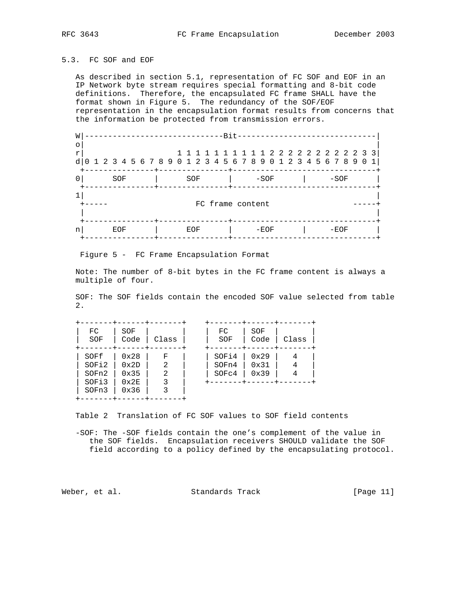## 5.3. FC SOF and EOF

 As described in section 5.1, representation of FC SOF and EOF in an IP Network byte stream requires special formatting and 8-bit code definitions. Therefore, the encapsulated FC frame SHALL have the format shown in Figure 5. The redundancy of the SOF/EOF representation in the encapsulation format results from concerns that the information be protected from transmission errors.

| W            |                                                               |     |  |  |  |     |                  | $-Rit$     |  |        |  |  |  |        |  |  |  |
|--------------|---------------------------------------------------------------|-----|--|--|--|-----|------------------|------------|--|--------|--|--|--|--------|--|--|--|
| ∩            |                                                               |     |  |  |  |     |                  |            |  |        |  |  |  |        |  |  |  |
| $\mathbf{r}$ |                                                               |     |  |  |  |     |                  |            |  |        |  |  |  |        |  |  |  |
| d            | 0 1 2 3 4 5 6 7 8 9 0 1 2 3 4 5 6 7 8 9 0 1 2 3 4 5 6 7 8 9 0 |     |  |  |  |     |                  |            |  |        |  |  |  |        |  |  |  |
|              |                                                               | SOF |  |  |  | SOF |                  | -----+---- |  | $-SOF$ |  |  |  | $-SOF$ |  |  |  |
|              |                                                               |     |  |  |  |     |                  |            |  |        |  |  |  |        |  |  |  |
|              |                                                               |     |  |  |  |     | FC frame content |            |  |        |  |  |  |        |  |  |  |
| n            |                                                               | EOF |  |  |  | EOF |                  |            |  | $-ECF$ |  |  |  | ーFOF   |  |  |  |
|              |                                                               |     |  |  |  |     |                  |            |  |        |  |  |  |        |  |  |  |

Figure 5 - FC Frame Encapsulation Format

 Note: The number of 8-bit bytes in the FC frame content is always a multiple of four.

 SOF: The SOF fields contain the encoded SOF value selected from table 2.

| FC<br>SOF                                | SOF<br>Code                                            | Class                 | FC<br>SOF               | SOF<br>Code          | Class |
|------------------------------------------|--------------------------------------------------------|-----------------------|-------------------------|----------------------|-------|
| SOFf<br>SOFi2<br>SOFn2<br>SOFi3<br>SOFn3 | 0x28<br>$0 \times 2D$<br>0x35<br>$0 \times 2E$<br>0x36 | F<br>2<br>2<br>3<br>3 | SOFi4<br>SOFn4<br>SOFc4 | 0x29<br>0x31<br>0x39 | 4     |

Table 2 Translation of FC SOF values to SOF field contents

 -SOF: The -SOF fields contain the one's complement of the value in the SOF fields. Encapsulation receivers SHOULD validate the SOF field according to a policy defined by the encapsulating protocol.

Weber, et al. Standards Track [Page 11]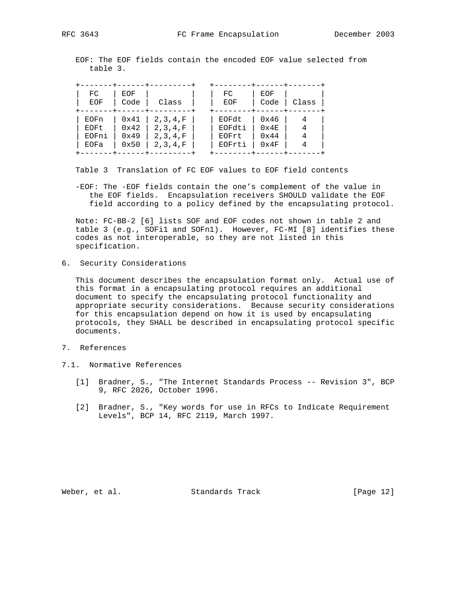EOF: The EOF fields contain the encoded EOF value selected from table 3.

| FC<br>EOF | EOF<br>Code   | Class      | FC<br>EOF | EOF<br>Code   | Class |
|-----------|---------------|------------|-----------|---------------|-------|
| EOFn      | 0x41          | 2, 3, 4, F | EOFdt     | 0x46          | 4     |
| EOFt      | $0 \times 42$ | 2, 3, 4, F | EOFdti    | $0 \times 4E$ |       |
| EOFni     | $0 \times 49$ | 2, 3, 4, F | EOFrt     | 0x44          |       |
| EOFa      | 0x50          | 2, 3, 4, F | EOFrti    | 0x4F          |       |

Table 3 Translation of FC EOF values to EOF field contents

 -EOF: The -EOF fields contain the one's complement of the value in the EOF fields. Encapsulation receivers SHOULD validate the EOF field according to a policy defined by the encapsulating protocol.

 Note: FC-BB-2 [6] lists SOF and EOF codes not shown in table 2 and table 3 (e.g., SOFi1 and SOFn1). However, FC-MI [8] identifies these codes as not interoperable, so they are not listed in this specification.

6. Security Considerations

 This document describes the encapsulation format only. Actual use of this format in a encapsulating protocol requires an additional document to specify the encapsulating protocol functionality and appropriate security considerations. Because security considerations for this encapsulation depend on how it is used by encapsulating protocols, they SHALL be described in encapsulating protocol specific documents.

- 7. References
- 7.1. Normative References
	- [1] Bradner, S., "The Internet Standards Process -- Revision 3", BCP 9, RFC 2026, October 1996.
	- [2] Bradner, S., "Key words for use in RFCs to Indicate Requirement Levels", BCP 14, RFC 2119, March 1997.

Weber, et al. Standards Track [Page 12]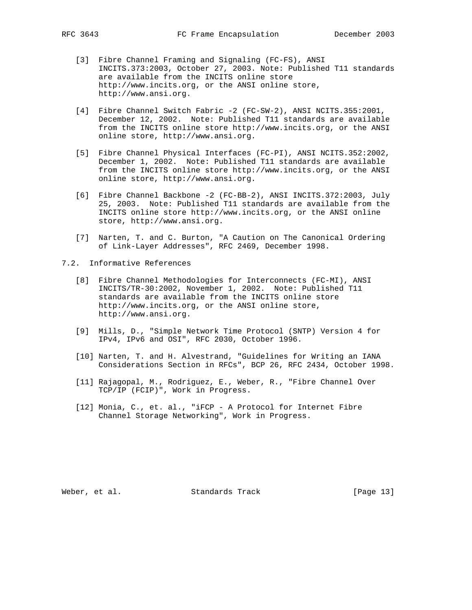- [3] Fibre Channel Framing and Signaling (FC-FS), ANSI INCITS.373:2003, October 27, 2003. Note: Published T11 standards are available from the INCITS online store http://www.incits.org, or the ANSI online store, http://www.ansi.org.
- [4] Fibre Channel Switch Fabric -2 (FC-SW-2), ANSI NCITS.355:2001, December 12, 2002. Note: Published T11 standards are available from the INCITS online store http://www.incits.org, or the ANSI online store, http://www.ansi.org.
- [5] Fibre Channel Physical Interfaces (FC-PI), ANSI NCITS.352:2002, December 1, 2002. Note: Published T11 standards are available from the INCITS online store http://www.incits.org, or the ANSI online store, http://www.ansi.org.
- [6] Fibre Channel Backbone -2 (FC-BB-2), ANSI INCITS.372:2003, July 25, 2003. Note: Published T11 standards are available from the INCITS online store http://www.incits.org, or the ANSI online store, http://www.ansi.org.
- [7] Narten, T. and C. Burton, "A Caution on The Canonical Ordering of Link-Layer Addresses", RFC 2469, December 1998.
- 7.2. Informative References
	- [8] Fibre Channel Methodologies for Interconnects (FC-MI), ANSI INCITS/TR-30:2002, November 1, 2002. Note: Published T11 standards are available from the INCITS online store http://www.incits.org, or the ANSI online store, http://www.ansi.org.
	- [9] Mills, D., "Simple Network Time Protocol (SNTP) Version 4 for IPv4, IPv6 and OSI", RFC 2030, October 1996.
	- [10] Narten, T. and H. Alvestrand, "Guidelines for Writing an IANA Considerations Section in RFCs", BCP 26, RFC 2434, October 1998.
	- [11] Rajagopal, M., Rodriguez, E., Weber, R., "Fibre Channel Over TCP/IP (FCIP)", Work in Progress.
	- [12] Monia, C., et. al., "iFCP A Protocol for Internet Fibre Channel Storage Networking", Work in Progress.

Weber, et al. Standards Track [Page 13]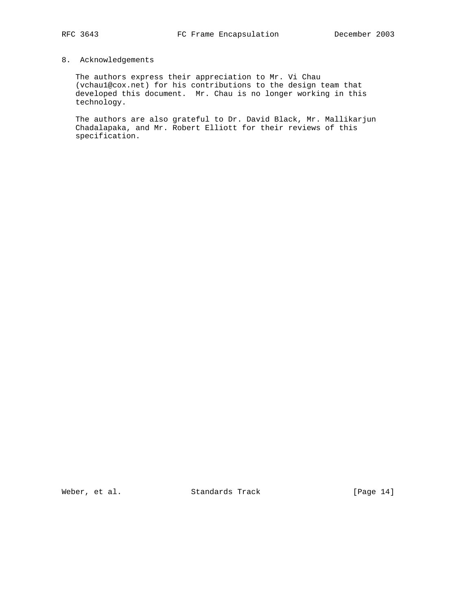## 8. Acknowledgements

 The authors express their appreciation to Mr. Vi Chau (vchau1@cox.net) for his contributions to the design team that developed this document. Mr. Chau is no longer working in this technology.

 The authors are also grateful to Dr. David Black, Mr. Mallikarjun Chadalapaka, and Mr. Robert Elliott for their reviews of this specification.

Weber, et al. Standards Track [Page 14]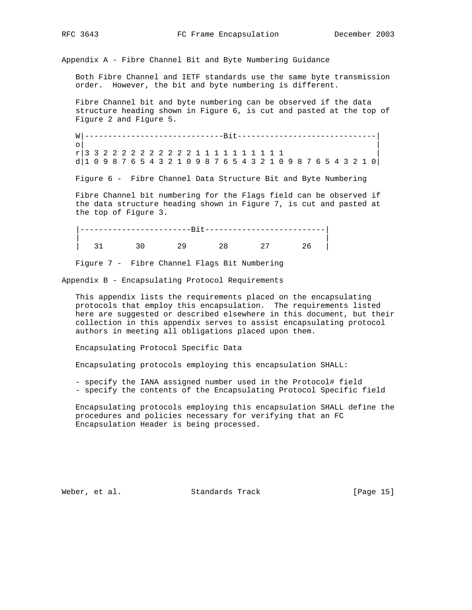Appendix A - Fibre Channel Bit and Byte Numbering Guidance

 Both Fibre Channel and IETF standards use the same byte transmission order. However, the bit and byte numbering is different.

 Fibre Channel bit and byte numbering can be observed if the data structure heading shown in Figure 6, is cut and pasted at the top of Figure 2 and Figure 5.

 W|------------------------------Bit------------------------------|  $\circ$  |  $\qquad \qquad$  |  $\qquad \qquad$  |  $\qquad \qquad$  |  $\qquad \qquad$  |  $\qquad \qquad$  |  $\qquad \qquad$  |  $\qquad \qquad$  |  $\qquad \qquad$  |  $\qquad \qquad$  |  $\qquad \qquad$  |  $\qquad \qquad$  |  $\qquad \qquad$  |  $\qquad \qquad$  |  $\qquad \qquad$  |  $\qquad \qquad$  |  $\qquad \qquad$  |  $\qquad \qquad$  |  $\qquad \qquad$  |  $\qquad \qquad$  |  $\qquad \$  r|3 3 2 2 2 2 2 2 2 2 2 2 1 1 1 1 1 1 1 1 1 1 | d|1 0 9 8 7 6 5 4 3 2 1 0 9 8 7 6 5 4 3 2 1 0 9 8 7 6 5 4 3 2 1 0|

Figure 6 - Fibre Channel Data Structure Bit and Byte Numbering

 Fibre Channel bit numbering for the Flags field can be observed if the data structure heading shown in Figure 7, is cut and pasted at the top of Figure 3.

 |------------------------Bit--------------------------| | | | 31 30 29 28 27 26 |

Figure 7 - Fibre Channel Flags Bit Numbering

Appendix B - Encapsulating Protocol Requirements

 This appendix lists the requirements placed on the encapsulating protocols that employ this encapsulation. The requirements listed here are suggested or described elsewhere in this document, but their collection in this appendix serves to assist encapsulating protocol authors in meeting all obligations placed upon them.

Encapsulating Protocol Specific Data

Encapsulating protocols employing this encapsulation SHALL:

- specify the IANA assigned number used in the Protocol# field
- specify the contents of the Encapsulating Protocol Specific field

 Encapsulating protocols employing this encapsulation SHALL define the procedures and policies necessary for verifying that an FC Encapsulation Header is being processed.

Weber, et al. Standards Track [Page 15]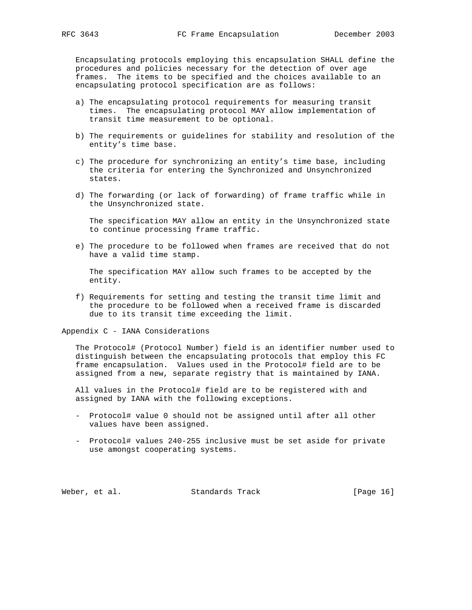Encapsulating protocols employing this encapsulation SHALL define the procedures and policies necessary for the detection of over age frames. The items to be specified and the choices available to an encapsulating protocol specification are as follows:

- a) The encapsulating protocol requirements for measuring transit times. The encapsulating protocol MAY allow implementation of transit time measurement to be optional.
- b) The requirements or guidelines for stability and resolution of the entity's time base.
- c) The procedure for synchronizing an entity's time base, including the criteria for entering the Synchronized and Unsynchronized states.
- d) The forwarding (or lack of forwarding) of frame traffic while in the Unsynchronized state.

 The specification MAY allow an entity in the Unsynchronized state to continue processing frame traffic.

 e) The procedure to be followed when frames are received that do not have a valid time stamp.

 The specification MAY allow such frames to be accepted by the entity.

 f) Requirements for setting and testing the transit time limit and the procedure to be followed when a received frame is discarded due to its transit time exceeding the limit.

Appendix C - IANA Considerations

 The Protocol# (Protocol Number) field is an identifier number used to distinguish between the encapsulating protocols that employ this FC frame encapsulation. Values used in the Protocol# field are to be assigned from a new, separate registry that is maintained by IANA.

 All values in the Protocol# field are to be registered with and assigned by IANA with the following exceptions.

- Protocol# value 0 should not be assigned until after all other values have been assigned.
- Protocol# values 240-255 inclusive must be set aside for private use amongst cooperating systems.

Weber, et al. Standards Track [Page 16]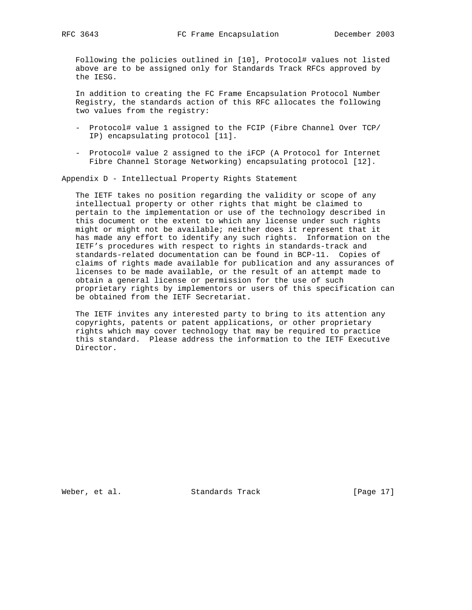Following the policies outlined in [10], Protocol# values not listed above are to be assigned only for Standards Track RFCs approved by the IESG.

 In addition to creating the FC Frame Encapsulation Protocol Number Registry, the standards action of this RFC allocates the following two values from the registry:

- Protocol# value 1 assigned to the FCIP (Fibre Channel Over TCP/ IP) encapsulating protocol [11].
- Protocol# value 2 assigned to the iFCP (A Protocol for Internet Fibre Channel Storage Networking) encapsulating protocol [12].

Appendix D - Intellectual Property Rights Statement

 The IETF takes no position regarding the validity or scope of any intellectual property or other rights that might be claimed to pertain to the implementation or use of the technology described in this document or the extent to which any license under such rights might or might not be available; neither does it represent that it has made any effort to identify any such rights. Information on the IETF's procedures with respect to rights in standards-track and standards-related documentation can be found in BCP-11. Copies of claims of rights made available for publication and any assurances of licenses to be made available, or the result of an attempt made to obtain a general license or permission for the use of such proprietary rights by implementors or users of this specification can be obtained from the IETF Secretariat.

 The IETF invites any interested party to bring to its attention any copyrights, patents or patent applications, or other proprietary rights which may cover technology that may be required to practice this standard. Please address the information to the IETF Executive Director.

Weber, et al. Standards Track [Page 17]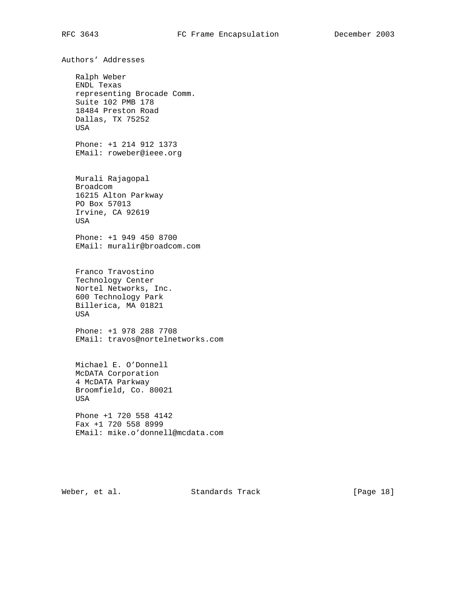Authors' Addresses Ralph Weber ENDL Texas representing Brocade Comm. Suite 102 PMB 178 18484 Preston Road Dallas, TX 75252 USA Phone: +1 214 912 1373 EMail: roweber@ieee.org Murali Rajagopal Broadcom 16215 Alton Parkway PO Box 57013 Irvine, CA 92619 USA Phone: +1 949 450 8700 EMail: muralir@broadcom.com Franco Travostino Technology Center Nortel Networks, Inc. 600 Technology Park Billerica, MA 01821 USA Phone: +1 978 288 7708 EMail: travos@nortelnetworks.com Michael E. O'Donnell McDATA Corporation 4 McDATA Parkway Broomfield, Co. 80021 USA Phone +1 720 558 4142 Fax +1 720 558 8999 EMail: mike.o'donnell@mcdata.com

Weber, et al. Standards Track [Page 18]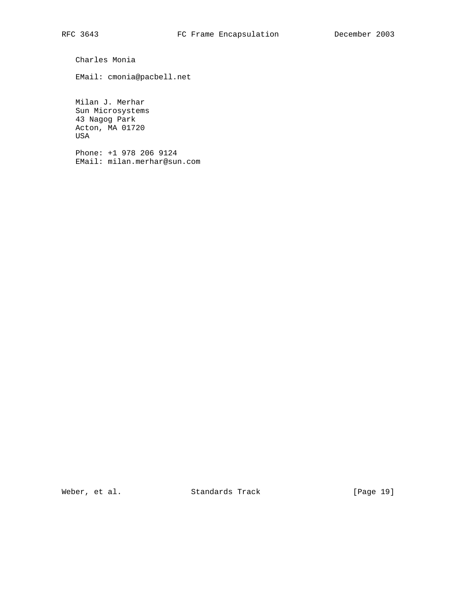Charles Monia

EMail: cmonia@pacbell.net

 Milan J. Merhar Sun Microsystems 43 Nagog Park Acton, MA 01720 USA

 Phone: +1 978 206 9124 EMail: milan.merhar@sun.com

Weber, et al. Standards Track [Page 19]